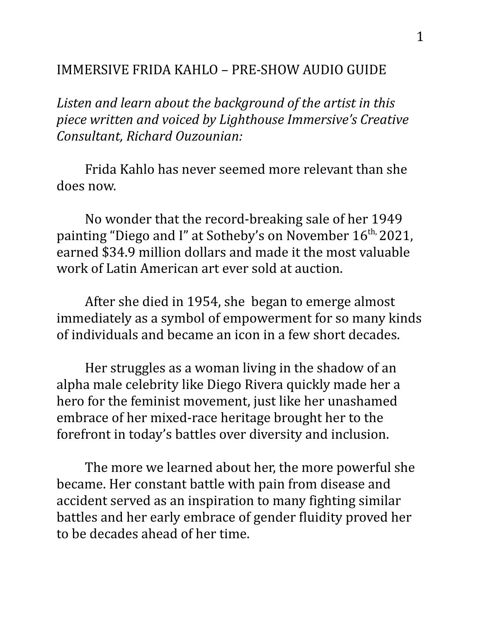## IMMERSIVE FRIDA KAHLO – PRE-SHOW AUDIO GUIDE

*Listen and learn about the background of the artist in this piece written and voiced by Lighthouse Immersive's Creative Consultant, Richard Ouzounian:*

Frida Kahlo has never seemed more relevant than she does now.

No wonder that the record-breaking sale of her 1949 painting "Diego and I" at Sotheby's on November 16<sup>th,</sup> 2021, earned \$34.9 million dollars and made it the most valuable work of Latin American art ever sold at auction.

After she died in 1954, she began to emerge almost immediately as a symbol of empowerment for so many kinds of individuals and became an icon in a few short decades.

Her struggles as a woman living in the shadow of an alpha male celebrity like Diego Rivera quickly made her a hero for the feminist movement, just like her unashamed embrace of her mixed-race heritage brought her to the forefront in today's battles over diversity and inclusion.

The more we learned about her, the more powerful she became. Her constant battle with pain from disease and accident served as an inspiration to many fighting similar battles and her early embrace of gender fluidity proved her to be decades ahead of her time.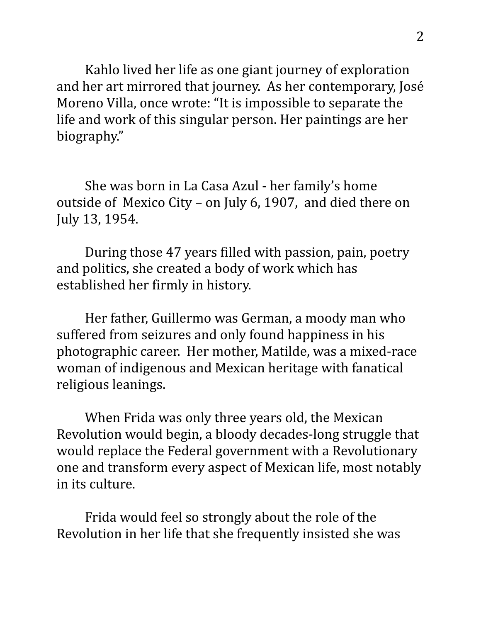Kahlo lived her life as one giant journey of exploration and her art mirrored that journey. As her contemporary, José Moreno Villa, once wrote: "It is impossible to separate the life and work of this singular person. Her paintings are her biography"

She was born in La Casa Azul - her family's home outside of Mexico City – on July 6, 1907, and died there on July 13, 1954.

During those 47 years filled with passion, pain, poetry and politics, she created a body of work which has established her firmly in history.

Her father, Guillermo was German, a moody man who suffered from seizures and only found happiness in his photographic career. Her mother, Matilde, was a mixed-race woman of indigenous and Mexican heritage with fanatical religious leanings.

When Frida was only three years old, the Mexican Revolution would begin, a bloody decades-long struggle that would replace the Federal government with a Revolutionary one and transform every aspect of Mexican life, most notably in its culture.

Frida would feel so strongly about the role of the Revolution in her life that she frequently insisted she was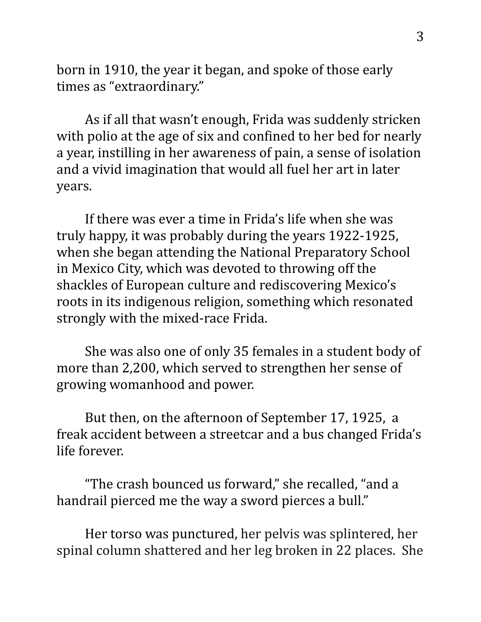born in 1910, the year it began, and spoke of those early times as "extraordinary."

As if all that wasn't enough, Frida was suddenly stricken with polio at the age of six and confined to her bed for nearly a year, instilling in her awareness of pain, a sense of isolation and a vivid imagination that would all fuel her art in later years.

If there was ever a time in Frida's life when she was truly happy, it was probably during the years 1922-1925, when she began attending the National Preparatory School in Mexico City, which was devoted to throwing off the shackles of European culture and rediscovering Mexico's roots in its indigenous religion, something which resonated strongly with the mixed-race Frida.

She was also one of only 35 females in a student body of more than 2,200, which served to strengthen her sense of growing womanhood and power.

But then, on the afternoon of September 17, 1925, a freak accident between a streetcar and a bus changed Frida's life forever.

"The crash bounced us forward," she recalled, "and a handrail pierced me the way a sword pierces a bull."

Her torso was punctured, her pelvis was splintered, her spinal column shattered and her leg broken in 22 places. She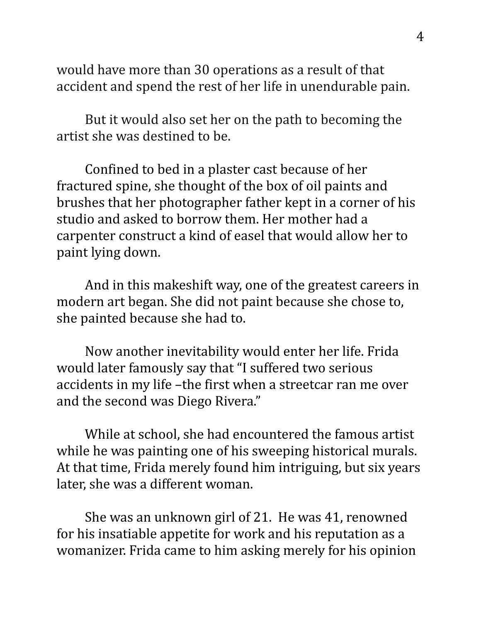would have more than 30 operations as a result of that accident and spend the rest of her life in unendurable pain.

But it would also set her on the path to becoming the artist she was destined to be.

Confined to bed in a plaster cast because of her fractured spine, she thought of the box of oil paints and brushes that her photographer father kept in a corner of his studio and asked to borrow them. Her mother had a carpenter construct a kind of easel that would allow her to paint lying down.

And in this makeshift way, one of the greatest careers in modern art began. She did not paint because she chose to, she painted because she had to.

Now another inevitability would enter her life. Frida would later famously say that "I suffered two serious accidents in my life –the first when a streetcar ran me over and the second was Diego Rivera."

While at school, she had encountered the famous artist while he was painting one of his sweeping historical murals. At that time, Frida merely found him intriguing, but six years later, she was a different woman.

She was an unknown girl of 21. He was 41, renowned for his insatiable appetite for work and his reputation as a womanizer. Frida came to him asking merely for his opinion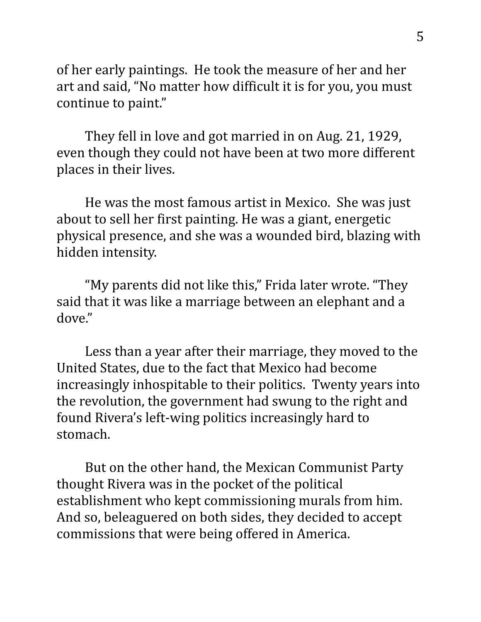of her early paintings. He took the measure of her and her art and said, "No matter how difficult it is for you, you must continue to paint."

They fell in love and got married in on Aug. 21, 1929, even though they could not have been at two more different places in their lives.

He was the most famous artist in Mexico. She was just about to sell her first painting. He was a giant, energetic physical presence, and she was a wounded bird, blazing with hidden intensity.

"My parents did not like this," Frida later wrote. "They said that it was like a marriage between an elephant and a dove."

Less than a year after their marriage, they moved to the United States, due to the fact that Mexico had become increasingly inhospitable to their politics. Twenty years into the revolution, the government had swung to the right and found Rivera's left-wing politics increasingly hard to stomach.

But on the other hand, the Mexican Communist Party thought Rivera was in the pocket of the political establishment who kept commissioning murals from him. And so, beleaguered on both sides, they decided to accept commissions that were being offered in America.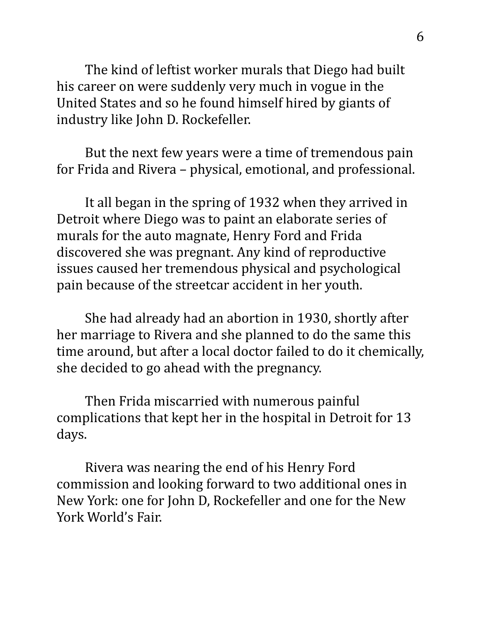The kind of leftist worker murals that Diego had built his career on were suddenly very much in vogue in the United States and so he found himself hired by giants of industry like John D. Rockefeller.

But the next few years were a time of tremendous pain for Frida and Rivera – physical, emotional, and professional.

It all began in the spring of 1932 when they arrived in Detroit where Diego was to paint an elaborate series of murals for the auto magnate, Henry Ford and Frida discovered she was pregnant. Any kind of reproductive issues caused her tremendous physical and psychological pain because of the streetcar accident in her youth.

She had already had an abortion in 1930, shortly after her marriage to Rivera and she planned to do the same this time around, but after a local doctor failed to do it chemically, she decided to go ahead with the pregnancy.

Then Frida miscarried with numerous painful complications that kept her in the hospital in Detroit for 13 days.

Rivera was nearing the end of his Henry Ford commission and looking forward to two additional ones in New York: one for John D, Rockefeller and one for the New York World's Fair.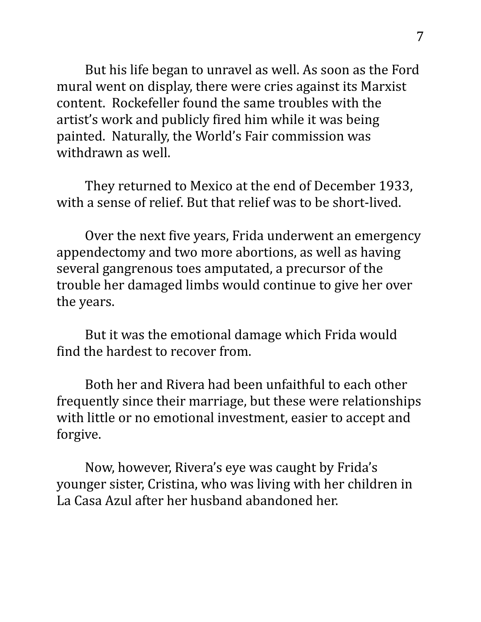But his life began to unravel as well. As soon as the Ford mural went on display, there were cries against its Marxist content. Rockefeller found the same troubles with the artist's work and publicly fired him while it was being painted. Naturally, the World's Fair commission was withdrawn as well.

They returned to Mexico at the end of December 1933, with a sense of relief. But that relief was to be short-lived.

Over the next five years, Frida underwent an emergency appendectomy and two more abortions, as well as having several gangrenous toes amputated, a precursor of the trouble her damaged limbs would continue to give her over the years.

But it was the emotional damage which Frida would find the hardest to recover from.

Both her and Rivera had been unfaithful to each other frequently since their marriage, but these were relationships with little or no emotional investment, easier to accept and forgive.

Now, however, Rivera's eye was caught by Frida's younger sister, Cristina, who was living with her children in La Casa Azul after her husband abandoned her.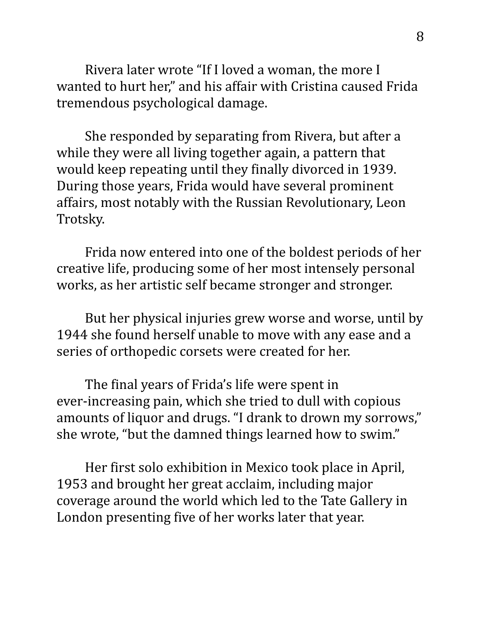Rivera later wrote "If I loved a woman, the more I wanted to hurt her," and his affair with Cristina caused Frida tremendous psychological damage.

She responded by separating from Rivera, but after a while they were all living together again, a pattern that would keep repeating until they finally divorced in 1939. During those years, Frida would have several prominent affairs, most notably with the Russian Revolutionary, Leon Trotsky.

Frida now entered into one of the boldest periods of her creative life, producing some of her most intensely personal works, as her artistic self became stronger and stronger.

But her physical injuries grew worse and worse, until by 1944 she found herself unable to move with any ease and a series of orthopedic corsets were created for her.

The final years of Frida's life were spent in ever-increasing pain, which she tried to dull with copious amounts of liquor and drugs. "I drank to drown my sorrows," she wrote, "but the damned things learned how to swim."

Her first solo exhibition in Mexico took place in April, 1953 and brought her great acclaim, including major coverage around the world which led to the Tate Gallery in London presenting five of her works later that year.